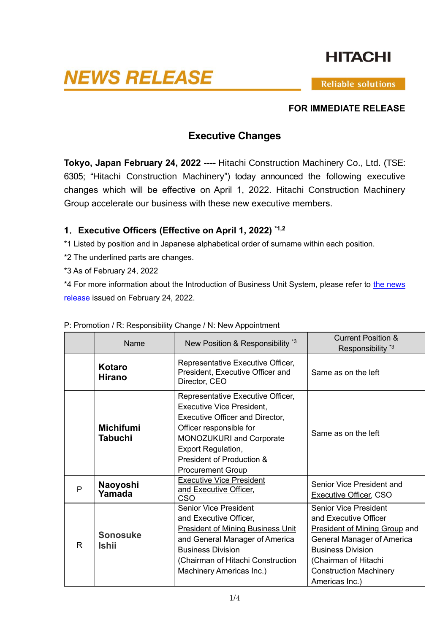# **HITACHI**

# **NEWS RELEASE**

**Reliable solutions** 

#### **FOR IMMEDIATE RELEASE**

# **Executive Changes**

**Tokyo, Japan February 24, 2022 ----** Hitachi Construction Machinery Co., Ltd. (TSE: 6305; "Hitachi Construction Machinery") today announced the following executive changes which will be effective on April 1, 2022. Hitachi Construction Machinery Group accelerate our business with these new executive members.

### **1**.**Executive Officers (Effective on April 1, 2022) \*1,2**

\*1 Listed by position and in Japanese alphabetical order of surname within each position.

\*2 The underlined parts are changes.

\*3 As of February 24, 2022

\*4 For more information about the Introduction of Business Unit System, please refer to [the news](https://www.hitachicm.com/global/news-list_en/22-02-24e/)  [release](https://www.hitachicm.com/global/news-list_en/22-02-24e/) issued on February 24, 2022.

|              | Name                            | New Position & Responsibility *3                                                                                                                                                                                                                      | <b>Current Position &amp;</b><br>Responsibility <sup>*3</sup>                                                                                                                                                                             |
|--------------|---------------------------------|-------------------------------------------------------------------------------------------------------------------------------------------------------------------------------------------------------------------------------------------------------|-------------------------------------------------------------------------------------------------------------------------------------------------------------------------------------------------------------------------------------------|
|              | Kotaro<br><b>Hirano</b>         | Representative Executive Officer,<br>President, Executive Officer and<br>Director, CEO                                                                                                                                                                | Same as on the left                                                                                                                                                                                                                       |
|              | <b>Michifumi</b><br>Tabuchi     | Representative Executive Officer,<br><b>Executive Vice President,</b><br><b>Executive Officer and Director,</b><br>Officer responsible for<br>MONOZUKURI and Corporate<br>Export Regulation,<br>President of Production &<br><b>Procurement Group</b> | Same as on the left                                                                                                                                                                                                                       |
| P            | Naoyoshi<br>Yamada              | <b>Executive Vice President</b><br>and Executive Officer,<br>CSO                                                                                                                                                                                      | Senior Vice President and<br><b>Executive Officer, CSO</b>                                                                                                                                                                                |
| $\mathsf{R}$ | <b>Sonosuke</b><br><b>Ishii</b> | <b>Senior Vice President</b><br>and Executive Officer,<br><b>President of Mining Business Unit</b><br>and General Manager of America<br><b>Business Division</b><br>(Chairman of Hitachi Construction<br>Machinery Americas Inc.)                     | <b>Senior Vice President</b><br>and Executive Officer<br><b>President of Mining Group and</b><br><b>General Manager of America</b><br><b>Business Division</b><br>(Chairman of Hitachi<br><b>Construction Machinery</b><br>Americas Inc.) |

#### P: Promotion / R: Responsibility Change / N: New Appointment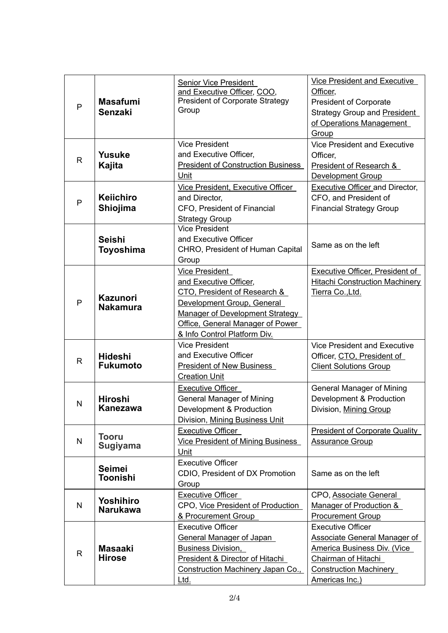| P            | <b>Masafumi</b><br><b>Senzaki</b>  | <b>Senior Vice President</b><br>and Executive Officer, COO,<br><b>President of Corporate Strategy</b><br>Group                                                                                                              | Vice President and Executive<br>Officer,<br><b>President of Corporate</b><br><b>Strategy Group and President</b><br>of Operations Management<br>Group                           |
|--------------|------------------------------------|-----------------------------------------------------------------------------------------------------------------------------------------------------------------------------------------------------------------------------|---------------------------------------------------------------------------------------------------------------------------------------------------------------------------------|
| $\mathsf{R}$ | <b>Yusuke</b><br>Kajita            | <b>Vice President</b><br>and Executive Officer,<br><b>President of Construction Business</b><br>Unit                                                                                                                        | <b>Vice President and Executive</b><br>Officer,<br>President of Research &<br>Development Group                                                                                 |
| P            | <b>Keiichiro</b><br>Shiojima       | Vice President, Executive Officer<br>and Director,<br>CFO, President of Financial<br><b>Strategy Group</b>                                                                                                                  | <b>Executive Officer and Director,</b><br>CFO, and President of<br><b>Financial Strategy Group</b>                                                                              |
|              | <b>Seishi</b><br>Toyoshima         | <b>Vice President</b><br>and Executive Officer<br>CHRO, President of Human Capital<br>Group                                                                                                                                 | Same as on the left                                                                                                                                                             |
| P            | <b>Kazunori</b><br><b>Nakamura</b> | <b>Vice President</b><br>and Executive Officer,<br>CTO, President of Research &<br>Development Group, General<br><b>Manager of Development Strategy</b><br>Office, General Manager of Power<br>& Info Control Platform Div. | Executive Officer, President of<br><b>Hitachi Construction Machinery</b><br>Tierra Co., Ltd.                                                                                    |
| $\mathsf{R}$ | <b>Hideshi</b><br><b>Fukumoto</b>  | <b>Vice President</b><br>and Executive Officer<br>President of New Business<br><b>Creation Unit</b>                                                                                                                         | <b>Vice President and Executive</b><br>Officer, CTO, President of<br><b>Client Solutions Group</b>                                                                              |
| N            | <b>Hiroshi</b><br>Kanezawa         | <b>Executive Officer</b><br><b>General Manager of Mining</b><br>Development & Production<br>Division, Mining Business Unit                                                                                                  | <b>General Manager of Mining</b><br>Development & Production<br>Division, Mining Group                                                                                          |
| $\mathsf{N}$ | <b>Tooru</b><br><b>Sugiyama</b>    | <b>Executive Officer</b><br><b>Vice President of Mining Business</b><br>Unit                                                                                                                                                | <b>President of Corporate Quality</b><br><b>Assurance Group</b>                                                                                                                 |
|              | <b>Seimei</b><br>Toonishi          | <b>Executive Officer</b><br>CDIO, President of DX Promotion<br>Group                                                                                                                                                        | Same as on the left                                                                                                                                                             |
| $\mathsf{N}$ | Yoshihiro<br><b>Narukawa</b>       | <b>Executive Officer</b><br>CPO, Vice President of Production<br>& Procurement Group                                                                                                                                        | CPO, Associate General<br>Manager of Production &<br><b>Procurement Group</b>                                                                                                   |
| $\mathsf{R}$ | <b>Masaaki</b><br><b>Hirose</b>    | <b>Executive Officer</b><br><b>General Manager of Japan</b><br><b>Business Division,</b><br>President & Director of Hitachi<br>Construction Machinery Japan Co.,<br><u>Ltd.</u>                                             | <b>Executive Officer</b><br><b>Associate General Manager of</b><br>America Business Div. (Vice<br><b>Chairman of Hitachi</b><br><b>Construction Machinery</b><br>Americas Inc.) |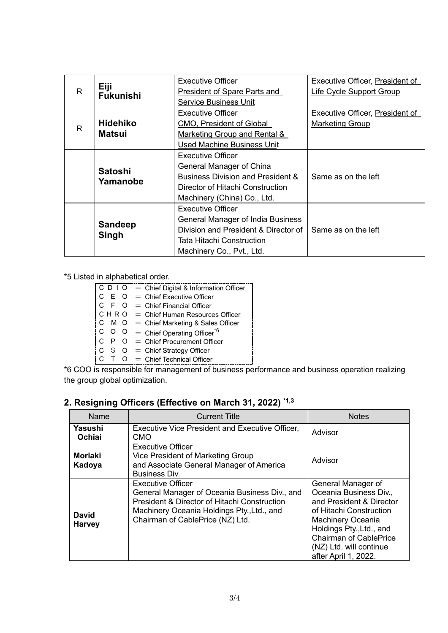| R            | Eiji<br><b>Fukunishi</b>         | <b>Executive Officer</b><br>President of Spare Parts and<br><b>Service Business Unit</b>                                                                               | Executive Officer, President of<br>Life Cycle Support Group |
|--------------|----------------------------------|------------------------------------------------------------------------------------------------------------------------------------------------------------------------|-------------------------------------------------------------|
| $\mathsf{R}$ | <b>Hidehiko</b><br><b>Matsui</b> | Executive Officer<br>CMO, President of Global<br>Marketing Group and Rental &<br><b>Used Machine Business Unit</b>                                                     | Executive Officer, President of<br><b>Marketing Group</b>   |
|              | <b>Satoshi</b><br>Yamanobe       | Executive Officer<br>General Manager of China<br><b>Business Division and President &amp;</b><br>Director of Hitachi Construction<br>Machinery (China) Co., Ltd.       | Same as on the left                                         |
|              | <b>Sandeep</b><br>Singh          | <b>Executive Officer</b><br><b>General Manager of India Business</b><br>Division and President & Director of<br>Tata Hitachi Construction<br>Machinery Co., Pvt., Ltd. | Same as on the left                                         |

\*5 Listed in alphabetical order.

|  | $\begin{bmatrix} C & D & I & O \end{bmatrix}$ = Chief Digital & Information Officer |
|--|-------------------------------------------------------------------------------------|
|  | $C E O =$ Chief Executive Officer                                                   |
|  | $C F O = Chief Financial Officer$                                                   |
|  | $CHRO = Chief Human Resources Officer$                                              |
|  | $CMO = Chief Marketing & Sales Officer$                                             |
|  | C O O = Chief Operating Officer <sup>*6</sup>                                       |
|  | $C \quad P \quad O =$ Chief Procurement Officer                                     |
|  | $C \quad S \quad O =$ Chief Strategy Officer                                        |
|  | $C$ $\overline{C}$ $C$ $=$ Chief Technical Officer                                  |

\*6 COO is responsible for management of business performance and business operation realizing the group global optimization.

#### **2. Resigning Officers (Effective on March 31, 2022) \*1,3**

| Name                     | <b>Current Title</b>                                                                                                                                                                                                   | <b>Notes</b>                                                                                                                                                                                                                             |
|--------------------------|------------------------------------------------------------------------------------------------------------------------------------------------------------------------------------------------------------------------|------------------------------------------------------------------------------------------------------------------------------------------------------------------------------------------------------------------------------------------|
| Yasushi<br>Ochiai        | <b>Executive Vice President and Executive Officer,</b><br>CMO                                                                                                                                                          | Advisor                                                                                                                                                                                                                                  |
| <b>Moriaki</b><br>Kadoya | <b>Executive Officer</b><br>Vice President of Marketing Group<br>and Associate General Manager of America<br>Business Div.                                                                                             | Advisor                                                                                                                                                                                                                                  |
| David<br><b>Harvey</b>   | <b>Executive Officer</b><br>General Manager of Oceania Business Div., and<br><b>President &amp; Director of Hitachi Construction</b><br>Machinery Oceania Holdings Pty., Ltd., and<br>Chairman of CablePrice (NZ) Ltd. | General Manager of<br>Oceania Business Div.,<br>and President & Director<br>of Hitachi Construction<br>Machinery Oceania<br>Holdings Pty., Ltd., and<br><b>Chairman of CablePrice</b><br>(NZ) Ltd. will continue<br>after April 1, 2022. |